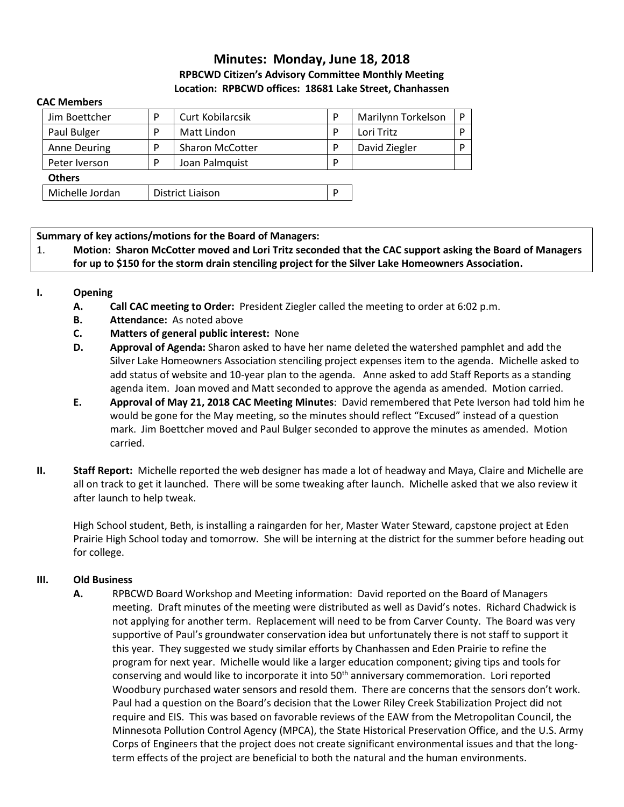# **Minutes: Monday, June 18, 2018 RPBCWD Citizen's Advisory Committee Monthly Meeting Location: RPBCWD offices: 18681 Lake Street, Chanhassen**

#### **CAC Members**

| Jim Boettcher       | D                | Curt Kobilarcsik       | D | Marilynn Torkelson |  |
|---------------------|------------------|------------------------|---|--------------------|--|
| Paul Bulger         | P                | Matt Lindon            | P | Lori Tritz         |  |
| <b>Anne Deuring</b> | P                | <b>Sharon McCotter</b> | D | David Ziegler      |  |
| Peter Iverson       | P                | Joan Palmquist         | D |                    |  |
| <b>Others</b>       |                  |                        |   |                    |  |
| Michelle Jordan     | District Liaison |                        | D |                    |  |

#### **Summary of key actions/motions for the Board of Managers:**

1. **Motion: Sharon McCotter moved and Lori Tritz seconded that the CAC support asking the Board of Managers for up to \$150 for the storm drain stenciling project for the Silver Lake Homeowners Association.** 

#### **I. Opening**

- **A. Call CAC meeting to Order:** President Ziegler called the meeting to order at 6:02 p.m.
- **B. Attendance:** As noted above
- **C. Matters of general public interest:** None
- **D. Approval of Agenda:** Sharon asked to have her name deleted the watershed pamphlet and add the Silver Lake Homeowners Association stenciling project expenses item to the agenda. Michelle asked to add status of website and 10-year plan to the agenda. Anne asked to add Staff Reports as a standing agenda item. Joan moved and Matt seconded to approve the agenda as amended. Motion carried.
- **E. Approval of May 21, 2018 CAC Meeting Minutes**: David remembered that Pete Iverson had told him he would be gone for the May meeting, so the minutes should reflect "Excused" instead of a question mark. Jim Boettcher moved and Paul Bulger seconded to approve the minutes as amended. Motion carried.
- **II. Staff Report:** Michelle reported the web designer has made a lot of headway and Maya, Claire and Michelle are all on track to get it launched. There will be some tweaking after launch. Michelle asked that we also review it after launch to help tweak.

High School student, Beth, is installing a raingarden for her, Master Water Steward, capstone project at Eden Prairie High School today and tomorrow. She will be interning at the district for the summer before heading out for college.

#### **III. Old Business**

**A.** RPBCWD Board Workshop and Meeting information: David reported on the Board of Managers meeting. Draft minutes of the meeting were distributed as well as David's notes. Richard Chadwick is not applying for another term. Replacement will need to be from Carver County. The Board was very supportive of Paul's groundwater conservation idea but unfortunately there is not staff to support it this year. They suggested we study similar efforts by Chanhassen and Eden Prairie to refine the program for next year. Michelle would like a larger education component; giving tips and tools for conserving and would like to incorporate it into 50<sup>th</sup> anniversary commemoration. Lori reported Woodbury purchased water sensors and resold them. There are concerns that the sensors don't work. Paul had a question on the Board's decision that the Lower Riley Creek Stabilization Project did not require and EIS. This was based on favorable reviews of the EAW from the Metropolitan Council, the Minnesota Pollution Control Agency (MPCA), the State Historical Preservation Office, and the U.S. Army Corps of Engineers that the project does not create significant environmental issues and that the longterm effects of the project are beneficial to both the natural and the human environments.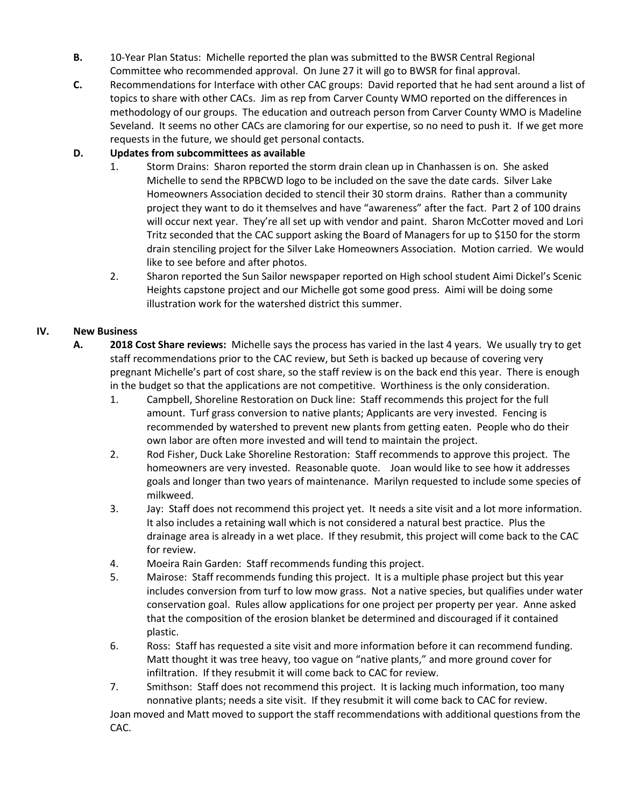- **B.** 10-Year Plan Status: Michelle reported the plan was submitted to the BWSR Central Regional Committee who recommended approval. On June 27 it will go to BWSR for final approval.
- **C.** Recommendations for Interface with other CAC groups: David reported that he had sent around a list of topics to share with other CACs. Jim as rep from Carver County WMO reported on the differences in methodology of our groups. The education and outreach person from Carver County WMO is Madeline Seveland. It seems no other CACs are clamoring for our expertise, so no need to push it. If we get more requests in the future, we should get personal contacts.

# **D. Updates from subcommittees as available**

- 1. Storm Drains: Sharon reported the storm drain clean up in Chanhassen is on. She asked Michelle to send the RPBCWD logo to be included on the save the date cards. Silver Lake Homeowners Association decided to stencil their 30 storm drains. Rather than a community project they want to do it themselves and have "awareness" after the fact. Part 2 of 100 drains will occur next year. They're all set up with vendor and paint. Sharon McCotter moved and Lori Tritz seconded that the CAC support asking the Board of Managers for up to \$150 for the storm drain stenciling project for the Silver Lake Homeowners Association.Motion carried. We would like to see before and after photos.
- 2. Sharon reported the Sun Sailor newspaper reported on High school student Aimi Dickel's Scenic Heights capstone project and our Michelle got some good press. Aimi will be doing some illustration work for the watershed district this summer.

# **IV. New Business**

- **A. 2018 Cost Share reviews:** Michelle says the process has varied in the last 4 years. We usually try to get staff recommendations prior to the CAC review, but Seth is backed up because of covering very pregnant Michelle's part of cost share, so the staff review is on the back end this year. There is enough in the budget so that the applications are not competitive. Worthiness is the only consideration.
	- 1. Campbell, Shoreline Restoration on Duck line: Staff recommends this project for the full amount. Turf grass conversion to native plants; Applicants are very invested. Fencing is recommended by watershed to prevent new plants from getting eaten. People who do their own labor are often more invested and will tend to maintain the project.
	- 2. Rod Fisher, Duck Lake Shoreline Restoration: Staff recommends to approve this project. The homeowners are very invested. Reasonable quote. Joan would like to see how it addresses goals and longer than two years of maintenance. Marilyn requested to include some species of milkweed.
	- 3. Jay: Staff does not recommend this project yet. It needs a site visit and a lot more information. It also includes a retaining wall which is not considered a natural best practice. Plus the drainage area is already in a wet place. If they resubmit, this project will come back to the CAC for review.
	- 4. Moeira Rain Garden: Staff recommends funding this project.
	- 5. Mairose: Staff recommends funding this project. It is a multiple phase project but this year includes conversion from turf to low mow grass. Not a native species, but qualifies under water conservation goal. Rules allow applications for one project per property per year. Anne asked that the composition of the erosion blanket be determined and discouraged if it contained plastic.
	- 6. Ross: Staff has requested a site visit and more information before it can recommend funding. Matt thought it was tree heavy, too vague on "native plants," and more ground cover for infiltration. If they resubmit it will come back to CAC for review.
	- 7. Smithson: Staff does not recommend this project. It is lacking much information, too many nonnative plants; needs a site visit. If they resubmit it will come back to CAC for review. Joan moved and Matt moved to support the staff recommendations with additional questions from the CAC.